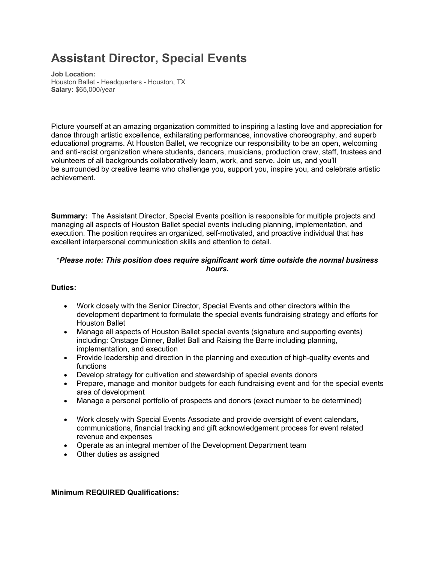# **Assistant Director, Special Events**

**Job Location:**  Houston Ballet - Headquarters - Houston, TX **Salary:** \$65,000/year

Picture yourself at an amazing organization committed to inspiring a lasting love and appreciation for dance through artistic excellence, exhilarating performances, innovative choreography, and superb educational programs. At Houston Ballet, we recognize our responsibility to be an open, welcoming and anti-racist organization where students, dancers, musicians, production crew, staff, trustees and volunteers of all backgrounds collaboratively learn, work, and serve. Join us, and you'll be surrounded by creative teams who challenge you, support you, inspire you, and celebrate artistic achievement.

**Summary:** The Assistant Director, Special Events position is responsible for multiple projects and managing all aspects of Houston Ballet special events including planning, implementation, and execution. The position requires an organized, self-motivated, and proactive individual that has excellent interpersonal communication skills and attention to detail.

# \**Please note: This position does require significant work time outside the normal business hours.*

## **Duties:**

- Work closely with the Senior Director, Special Events and other directors within the development department to formulate the special events fundraising strategy and efforts for Houston Ballet
- Manage all aspects of Houston Ballet special events (signature and supporting events) including: Onstage Dinner, Ballet Ball and Raising the Barre including planning, implementation, and execution
- Provide leadership and direction in the planning and execution of high-quality events and functions
- Develop strategy for cultivation and stewardship of special events donors
- Prepare, manage and monitor budgets for each fundraising event and for the special events area of development
- Manage a personal portfolio of prospects and donors (exact number to be determined)
- Work closely with Special Events Associate and provide oversight of event calendars, communications, financial tracking and gift acknowledgement process for event related revenue and expenses
- Operate as an integral member of the Development Department team
- Other duties as assigned

## **Minimum REQUIRED Qualifications:**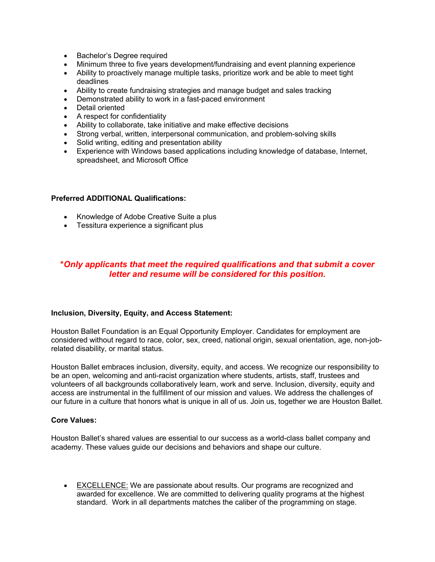- Bachelor's Degree required
- Minimum three to five years development/fundraising and event planning experience
- Ability to proactively manage multiple tasks, prioritize work and be able to meet tight deadlines
- Ability to create fundraising strategies and manage budget and sales tracking
- Demonstrated ability to work in a fast-paced environment
- Detail oriented
- A respect for confidentiality
- Ability to collaborate, take initiative and make effective decisions
- Strong verbal, written, interpersonal communication, and problem-solving skills
- Solid writing, editing and presentation ability
- Experience with Windows based applications including knowledge of database, Internet, spreadsheet, and Microsoft Office

#### **Preferred ADDITIONAL Qualifications:**

- Knowledge of Adobe Creative Suite a plus
- Tessitura experience a significant plus

# **\****Only applicants that meet the required qualifications and that submit a cover letter and resume will be considered for this position.*

#### **Inclusion, Diversity, Equity, and Access Statement:**

Houston Ballet Foundation is an Equal Opportunity Employer. Candidates for employment are considered without regard to race, color, sex, creed, national origin, sexual orientation, age, non-jobrelated disability, or marital status.

Houston Ballet embraces inclusion, diversity, equity, and access. We recognize our responsibility to be an open, welcoming and anti-racist organization where students, artists, staff, trustees and volunteers of all backgrounds collaboratively learn, work and serve. Inclusion, diversity, equity and access are instrumental in the fulfillment of our mission and values. We address the challenges of our future in a culture that honors what is unique in all of us. Join us, together we are Houston Ballet.

#### **Core Values:**

Houston Ballet's shared values are essential to our success as a world-class ballet company and academy. These values guide our decisions and behaviors and shape our culture.

• EXCELLENCE: We are passionate about results. Our programs are recognized and awarded for excellence. We are committed to delivering quality programs at the highest standard. Work in all departments matches the caliber of the programming on stage.